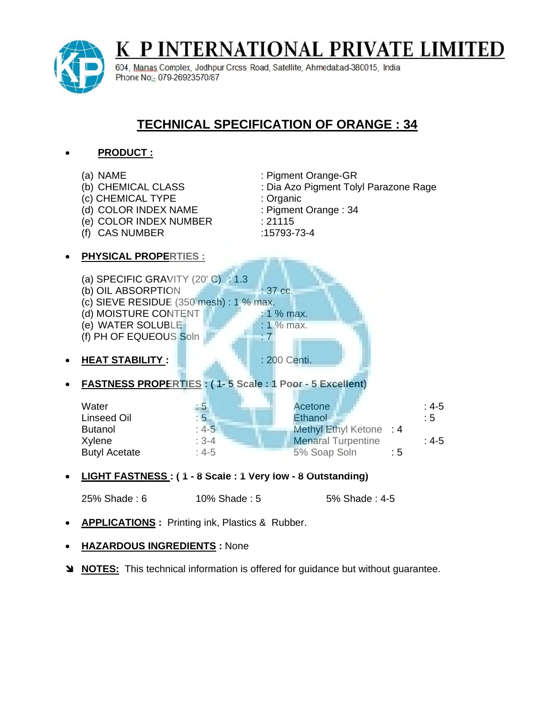

K P INTERNATIONAL PRIVATE LIMITED

604, Manas Complex, Jodhpur Cross Road, Satellite, Ahmedatad-380015, India Phone No: 079-26923570/87

## **TECHNICAL SPECIFICATION OF ORANGE : 34**

## **PRODUCT :**

- (a) NAME : Pigment Orange-GR
- 
- (c) CHEMICAL TYPE : Organic
- (d) COLOR INDEX NAME : Pigment Orange : 34
- (e) COLOR INDEX NUMBER : 21115
- (f) CAS NUMBER :15793-73-4
- (b) CHEMICAL CLASS : Dia Azo Pigment Tolyl Parazone Rage
	- -
		-
- **PHYSICAL PROPERTIES :**
	- (a) SPECIFIC GRAVITY  $(20^{\circ}$  C) : 1.3 (b) OIL ABSORPTION  $\qquad$  : 37 cc. (c) SIEVE RESIDUE (350 mesh) : 1 % max. (d) MOISTURE CONTENT  $\blacksquare$  : 1 % max. (e) WATER SOLUBLE : 1% max. (f) PH OF EQUEOUS Soln : 7
- **HEAT STABILITY : 1999 ENDING THE LITTLE STABILITY :** 200 Centi.
- **FASTNESS PROPERTIES : ( 1- 5 Scale : 1 Poor 5 Excellent)**

| Water<br>Linseed Oil<br><b>Butanol</b> | $\div 5$<br>:5<br>: $4-5$ | Acetone<br>Ethanol<br>Methyl Ethyl Ketone : 4 | $:4-5$<br>$\therefore$ 5 |
|----------------------------------------|---------------------------|-----------------------------------------------|--------------------------|
| Xylene                                 | $: 3 - 4$                 | <b>Menaral Turpentine</b>                     | : 4-5                    |
| <b>Butyl Acetate</b>                   | : 4-5                     | 5% Soap Soln                                  | : 5                      |

- **LIGHT FASTNESS : ( 1 8 Scale : 1 Very low 8 Outstanding)**
	- 25% Shade: 6 10% Shade: 5 5% Shade: 4-5
- **APPLICATIONS :** Printing ink, Plastics & Rubber.
- **HAZARDOUS INGREDIENTS :** None
- **NOTES:** This technical information is offered for guidance but without guarantee.